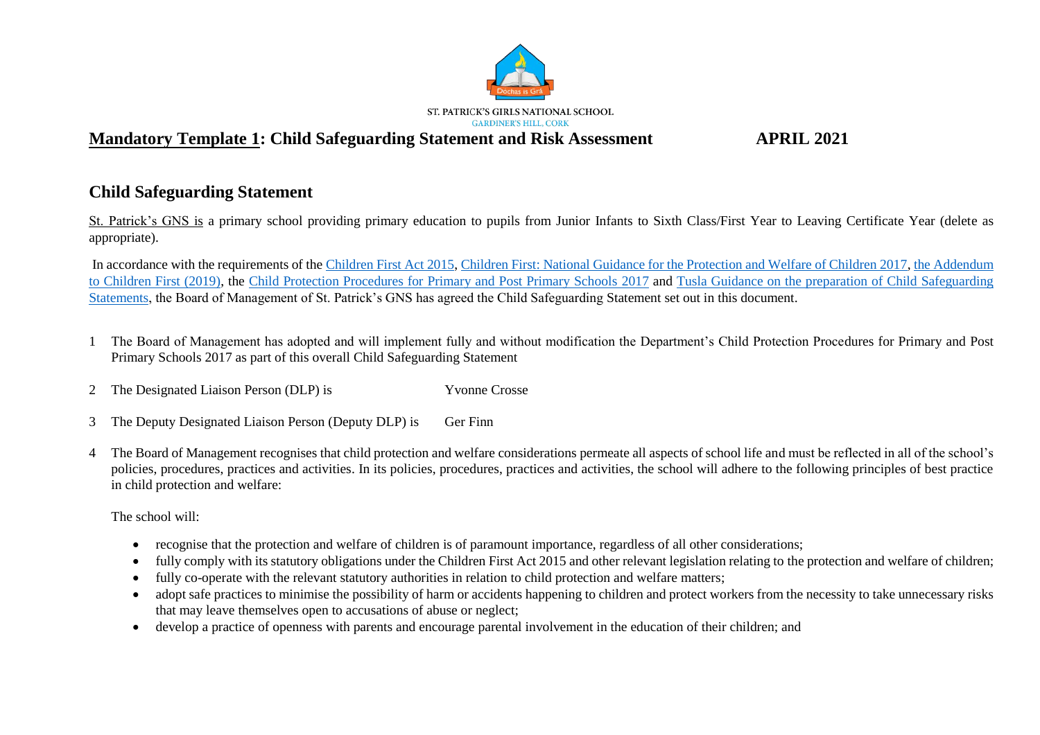

# **Child Safeguarding Statement**

St. Patrick's GNS is a primary school providing primary education to pupils from Junior Infants to Sixth Class/First Year to Leaving Certificate Year (delete as appropriate).

In accordance with the requirements of th[e Children First Act 2015,](http://www.irishstatutebook.ie/eli/2015/act/36/enacted/en/pdf) [Children First: National Guidance for the Protection and Welfare of Children 2017,](https://assets.gov.ie/25844/b90aafa55804462f84d05f87f0ca2bf6.pdf) [the Addendum](https://assets.gov.ie/25819/c9744b64dfd6447985eeffa5c0d71bbb.pdf)  [to Children First \(2019\),](https://assets.gov.ie/25819/c9744b64dfd6447985eeffa5c0d71bbb.pdf) the [Child Protection Procedures for Primary and Post Primary Schools 2017](https://www.gov.ie/pdf/?file=https://assets.gov.ie/45063/2d4b5b3d781e4ec1ab4f3e5d198717d9.pdf#page=1) and [Tusla Guidance on the preparation of Child Safeguarding](https://www.tusla.ie/uploads/content/4214-TUSLA_Guidance_on_Developing_a_CSS_LR.PDF)  [Statements,](https://www.tusla.ie/uploads/content/4214-TUSLA_Guidance_on_Developing_a_CSS_LR.PDF) the Board of Management of St. Patrick's GNS has agreed the Child Safeguarding Statement set out in this document.

- 1 The Board of Management has adopted and will implement fully and without modification the Department's Child Protection Procedures for Primary and Post Primary Schools 2017 as part of this overall Child Safeguarding Statement
- 2 The Designated Liaison Person (DLP) is Yvonne Crosse
- 3 The Deputy Designated Liaison Person (Deputy DLP) is Ger Finn
- 4 The Board of Management recognises that child protection and welfare considerations permeate all aspects of school life and must be reflected in all of the school's policies, procedures, practices and activities. In its policies, procedures, practices and activities, the school will adhere to the following principles of best practice in child protection and welfare:

The school will:

- recognise that the protection and welfare of children is of paramount importance, regardless of all other considerations;
- fully comply with its statutory obligations under the Children First Act 2015 and other relevant legislation relating to the protection and welfare of children;
- fully co-operate with the relevant statutory authorities in relation to child protection and welfare matters;
- adopt safe practices to minimise the possibility of harm or accidents happening to children and protect workers from the necessity to take unnecessary risks that may leave themselves open to accusations of abuse or neglect;
- develop a practice of openness with parents and encourage parental involvement in the education of their children; and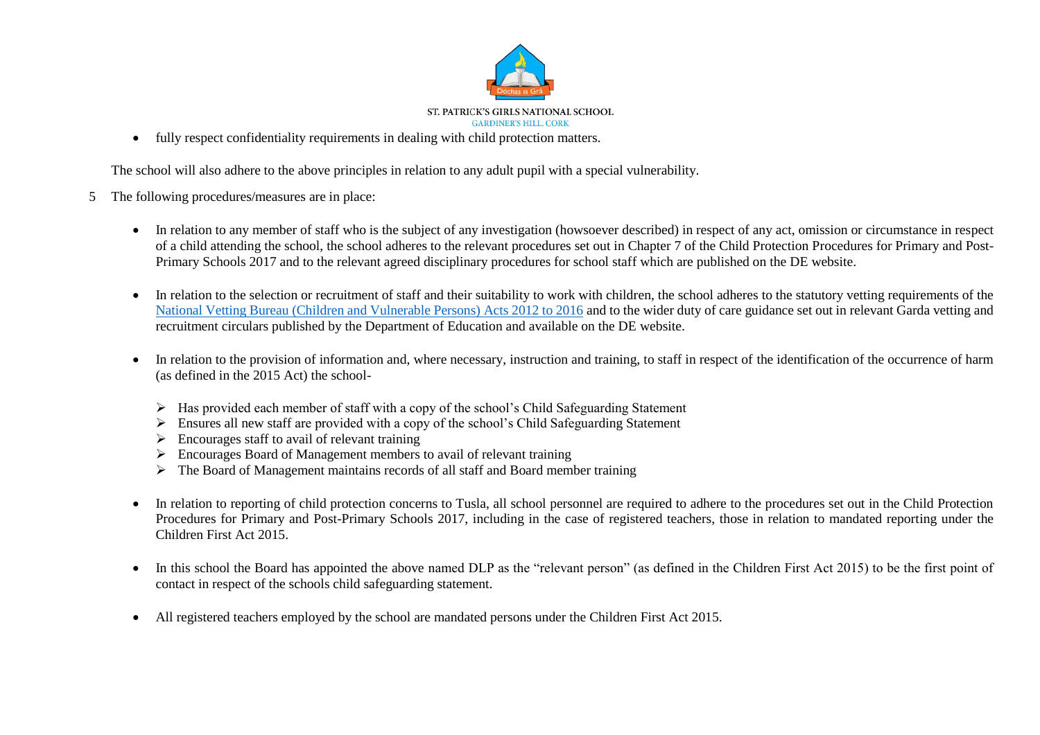

fully respect confidentiality requirements in dealing with child protection matters.

The school will also adhere to the above principles in relation to any adult pupil with a special vulnerability.

- 5 The following procedures/measures are in place:
	- In relation to any member of staff who is the subject of any investigation (howsoever described) in respect of any act, omission or circumstance in respect of a child attending the school, the school adheres to the relevant procedures set out in Chapter 7 of the Child Protection Procedures for Primary and Post-Primary Schools 2017 and to the relevant agreed disciplinary procedures for school staff which are published on the DE website.
	- In relation to the selection or recruitment of staff and their suitability to work with children, the school adheres to the statutory vetting requirements of the [National Vetting Bureau \(Children and Vulnerable Persons\) Acts 2012 to 2016](https://revisedacts.lawreform.ie/eli/2012/act/47/revised/en/pdf) and to the wider duty of care guidance set out in relevant Garda vetting and recruitment circulars published by the Department of Education and available on the DE website.
	- In relation to the provision of information and, where necessary, instruction and training, to staff in respect of the identification of the occurrence of harm (as defined in the 2015 Act) the school-
		- $\triangleright$  Has provided each member of staff with a copy of the school's Child Safeguarding Statement
		- $\triangleright$  Ensures all new staff are provided with a copy of the school's Child Safeguarding Statement
		- $\triangleright$  Encourages staff to avail of relevant training
		- $\triangleright$  Encourages Board of Management members to avail of relevant training
		- $\triangleright$  The Board of Management maintains records of all staff and Board member training
	- In relation to reporting of child protection concerns to Tusla, all school personnel are required to adhere to the procedures set out in the Child Protection Procedures for Primary and Post-Primary Schools 2017, including in the case of registered teachers, those in relation to mandated reporting under the Children First Act 2015.
	- In this school the Board has appointed the above named DLP as the "relevant person" (as defined in the Children First Act 2015) to be the first point of contact in respect of the schools child safeguarding statement.
	- All registered teachers employed by the school are mandated persons under the Children First Act 2015.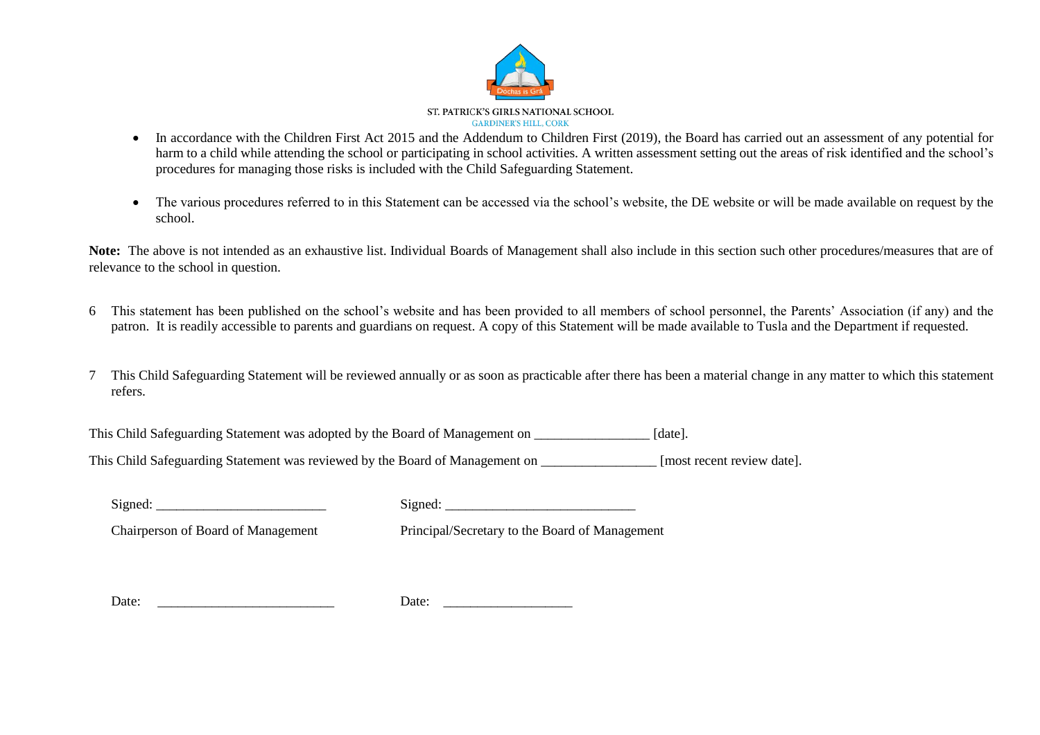

- In accordance with the Children First Act 2015 and the Addendum to Children First (2019), the Board has carried out an assessment of any potential for harm to a child while attending the school or participating in school activities. A written assessment setting out the areas of risk identified and the school's procedures for managing those risks is included with the Child Safeguarding Statement.
- The various procedures referred to in this Statement can be accessed via the school's website, the DE website or will be made available on request by the school.

Note: The above is not intended as an exhaustive list. Individual Boards of Management shall also include in this section such other procedures/measures that are of relevance to the school in question.

- 6 This statement has been published on the school's website and has been provided to all members of school personnel, the Parents' Association (if any) and the patron. It is readily accessible to parents and guardians on request. A copy of this Statement will be made available to Tusla and the Department if requested.
- 7 This Child Safeguarding Statement will be reviewed annually or as soon as practicable after there has been a material change in any matter to which this statement refers.

This Child Safeguarding Statement was adopted by the Board of Management on \_\_\_\_\_\_\_\_\_\_\_\_\_\_\_\_\_\_ [date].

This Child Safeguarding Statement was reviewed by the Board of Management on [most recent review date].

| √ioned∙ |  |
|---------|--|
|         |  |

 $Signed:$ 

Chairperson of Board of Management Principal/Secretary to the Board of Management

| $\overline{\phantom{0}}$<br>Date:<br>$\cdots$ |  | ----- |  |
|-----------------------------------------------|--|-------|--|
|-----------------------------------------------|--|-------|--|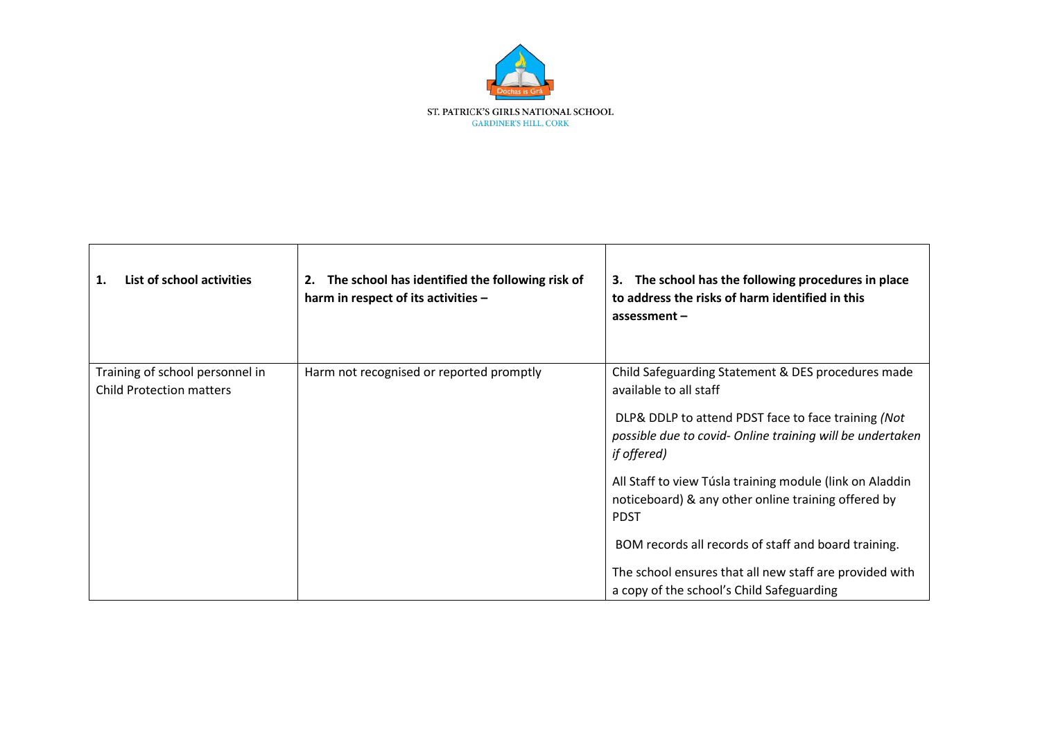

| List of school activities<br>1.                                    | The school has identified the following risk of<br>2.<br>harm in respect of its activities - | The school has the following procedures in place<br>3.<br>to address the risks of harm identified in this<br>assessment $-$                                                                                     |
|--------------------------------------------------------------------|----------------------------------------------------------------------------------------------|-----------------------------------------------------------------------------------------------------------------------------------------------------------------------------------------------------------------|
| Training of school personnel in<br><b>Child Protection matters</b> | Harm not recognised or reported promptly                                                     | Child Safeguarding Statement & DES procedures made<br>available to all staff<br>DLP& DDLP to attend PDST face to face training (Not<br>possible due to covid- Online training will be undertaken<br>if offered) |
|                                                                    |                                                                                              | All Staff to view Túsla training module (link on Aladdin<br>noticeboard) & any other online training offered by<br><b>PDST</b>                                                                                  |
|                                                                    |                                                                                              | BOM records all records of staff and board training.<br>The school ensures that all new staff are provided with<br>a copy of the school's Child Safeguarding                                                    |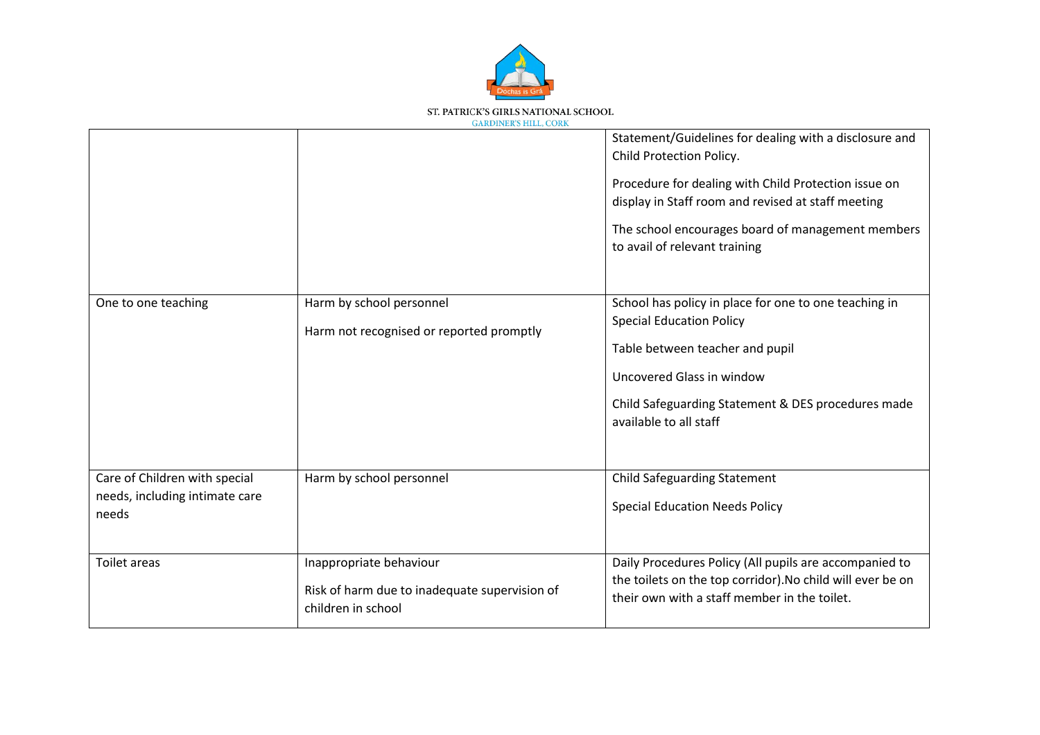

|                                                                          |                                                                                                | Statement/Guidelines for dealing with a disclosure and<br>Child Protection Policy.<br>Procedure for dealing with Child Protection issue on<br>display in Staff room and revised at staff meeting<br>The school encourages board of management members<br>to avail of relevant training |
|--------------------------------------------------------------------------|------------------------------------------------------------------------------------------------|----------------------------------------------------------------------------------------------------------------------------------------------------------------------------------------------------------------------------------------------------------------------------------------|
| One to one teaching                                                      | Harm by school personnel<br>Harm not recognised or reported promptly                           | School has policy in place for one to one teaching in<br><b>Special Education Policy</b><br>Table between teacher and pupil<br>Uncovered Glass in window<br>Child Safeguarding Statement & DES procedures made<br>available to all staff                                               |
| Care of Children with special<br>needs, including intimate care<br>needs | Harm by school personnel                                                                       | <b>Child Safeguarding Statement</b><br><b>Special Education Needs Policy</b>                                                                                                                                                                                                           |
| <b>Toilet areas</b>                                                      | Inappropriate behaviour<br>Risk of harm due to inadequate supervision of<br>children in school | Daily Procedures Policy (All pupils are accompanied to<br>the toilets on the top corridor). No child will ever be on<br>their own with a staff member in the toilet.                                                                                                                   |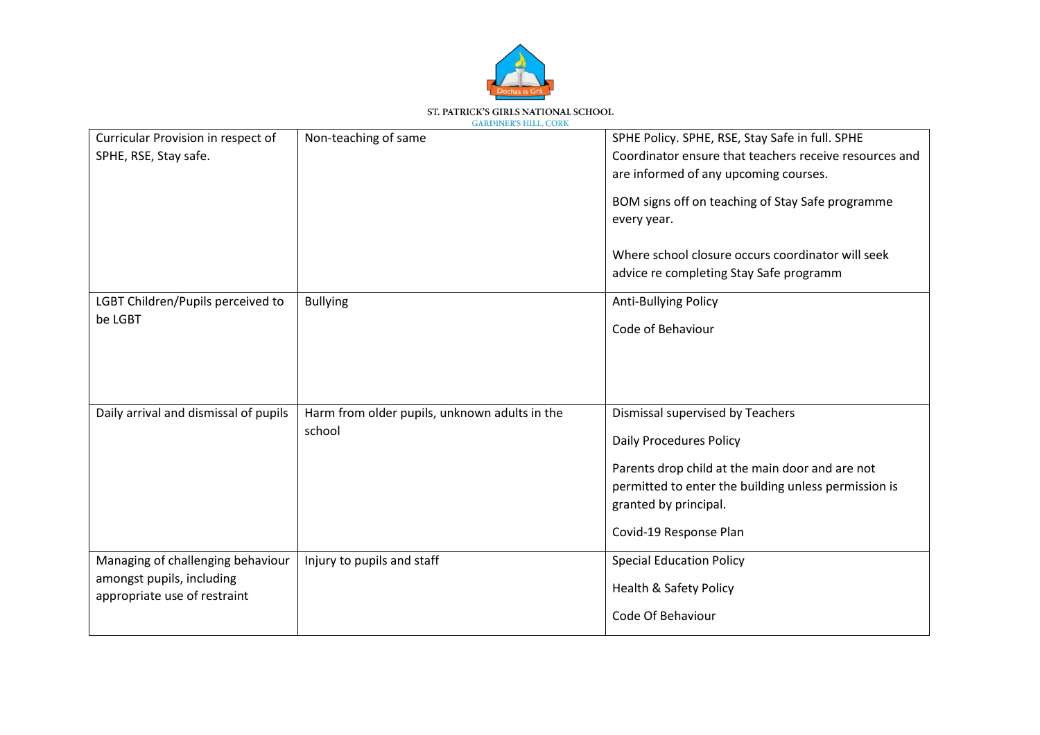

| Curricular Provision in respect of<br>SPHE, RSE, Stay safe.                                    | Non-teaching of same                                    | SPHE Policy. SPHE, RSE, Stay Safe in full. SPHE<br>Coordinator ensure that teachers receive resources and<br>are informed of any upcoming courses.<br>BOM signs off on teaching of Stay Safe programme<br>every year.<br>Where school closure occurs coordinator will seek<br>advice re completing Stay Safe programm |
|------------------------------------------------------------------------------------------------|---------------------------------------------------------|-----------------------------------------------------------------------------------------------------------------------------------------------------------------------------------------------------------------------------------------------------------------------------------------------------------------------|
| LGBT Children/Pupils perceived to<br>be LGBT                                                   | <b>Bullying</b>                                         | Anti-Bullying Policy<br>Code of Behaviour                                                                                                                                                                                                                                                                             |
| Daily arrival and dismissal of pupils                                                          | Harm from older pupils, unknown adults in the<br>school | Dismissal supervised by Teachers<br><b>Daily Procedures Policy</b><br>Parents drop child at the main door and are not<br>permitted to enter the building unless permission is<br>granted by principal.<br>Covid-19 Response Plan                                                                                      |
| Managing of challenging behaviour<br>amongst pupils, including<br>appropriate use of restraint | Injury to pupils and staff                              | <b>Special Education Policy</b><br><b>Health &amp; Safety Policy</b><br>Code Of Behaviour                                                                                                                                                                                                                             |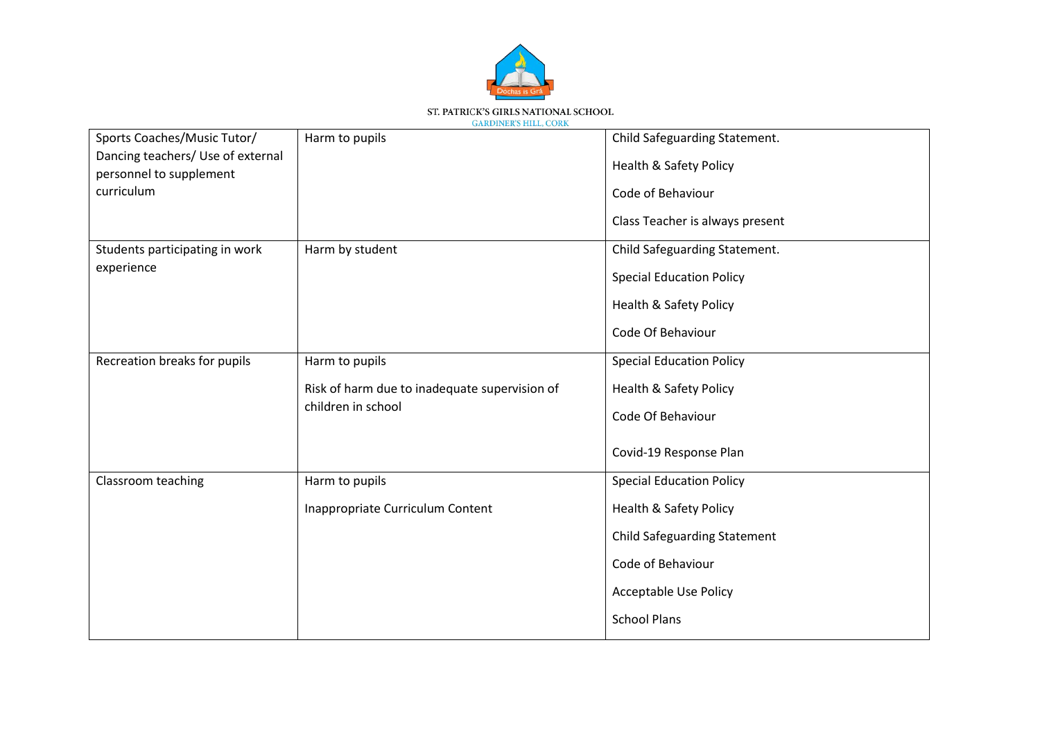

| <b>GARDINER'S HILL, CORK</b> |
|------------------------------|
|                              |

| Sports Coaches/Music Tutor/<br>Dancing teachers/ Use of external | Harm to pupils                                | Child Safeguarding Statement.<br><b>Health &amp; Safety Policy</b> |
|------------------------------------------------------------------|-----------------------------------------------|--------------------------------------------------------------------|
| personnel to supplement<br>curriculum                            |                                               | Code of Behaviour                                                  |
|                                                                  |                                               | Class Teacher is always present                                    |
| Students participating in work                                   | Harm by student                               | Child Safeguarding Statement.                                      |
| experience                                                       |                                               | <b>Special Education Policy</b>                                    |
|                                                                  |                                               | <b>Health &amp; Safety Policy</b>                                  |
|                                                                  |                                               | Code Of Behaviour                                                  |
| Recreation breaks for pupils                                     | Harm to pupils                                | <b>Special Education Policy</b>                                    |
|                                                                  | Risk of harm due to inadequate supervision of | Health & Safety Policy                                             |
|                                                                  | children in school                            | Code Of Behaviour                                                  |
|                                                                  |                                               | Covid-19 Response Plan                                             |
| Classroom teaching                                               | Harm to pupils                                | <b>Special Education Policy</b>                                    |
|                                                                  | Inappropriate Curriculum Content              | <b>Health &amp; Safety Policy</b>                                  |
|                                                                  |                                               | <b>Child Safeguarding Statement</b>                                |
|                                                                  |                                               | Code of Behaviour                                                  |
|                                                                  |                                               | <b>Acceptable Use Policy</b>                                       |
|                                                                  |                                               | <b>School Plans</b>                                                |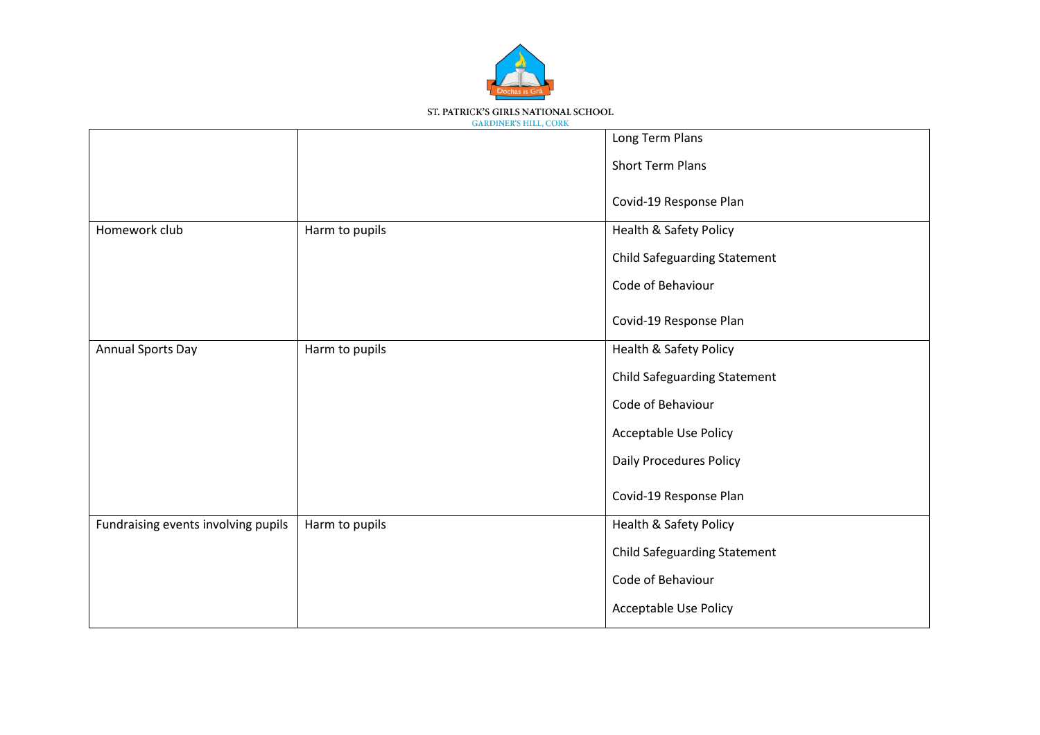

|                                     |                | Long Term Plans                     |
|-------------------------------------|----------------|-------------------------------------|
|                                     |                | <b>Short Term Plans</b>             |
|                                     |                | Covid-19 Response Plan              |
| Homework club                       | Harm to pupils | <b>Health &amp; Safety Policy</b>   |
|                                     |                | <b>Child Safeguarding Statement</b> |
|                                     |                | Code of Behaviour                   |
|                                     |                | Covid-19 Response Plan              |
| <b>Annual Sports Day</b>            | Harm to pupils | <b>Health &amp; Safety Policy</b>   |
|                                     |                | <b>Child Safeguarding Statement</b> |
|                                     |                | Code of Behaviour                   |
|                                     |                | Acceptable Use Policy               |
|                                     |                | <b>Daily Procedures Policy</b>      |
|                                     |                | Covid-19 Response Plan              |
| Fundraising events involving pupils | Harm to pupils | <b>Health &amp; Safety Policy</b>   |
|                                     |                | <b>Child Safeguarding Statement</b> |
|                                     |                | Code of Behaviour                   |
|                                     |                | <b>Acceptable Use Policy</b>        |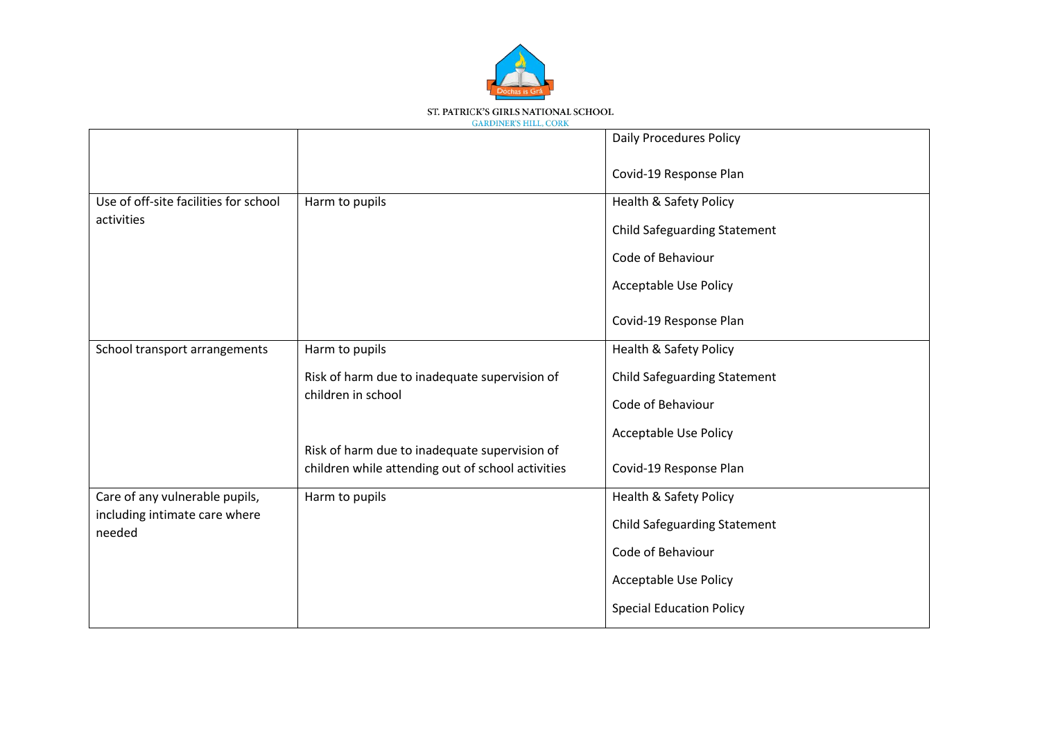

|                                         |                                                                                                    | <b>Daily Procedures Policy</b>      |
|-----------------------------------------|----------------------------------------------------------------------------------------------------|-------------------------------------|
|                                         |                                                                                                    | Covid-19 Response Plan              |
| Use of off-site facilities for school   | Harm to pupils                                                                                     | <b>Health &amp; Safety Policy</b>   |
| activities                              |                                                                                                    | <b>Child Safeguarding Statement</b> |
|                                         |                                                                                                    | Code of Behaviour                   |
|                                         |                                                                                                    | <b>Acceptable Use Policy</b>        |
|                                         |                                                                                                    | Covid-19 Response Plan              |
| School transport arrangements           | Harm to pupils                                                                                     | <b>Health &amp; Safety Policy</b>   |
|                                         | Risk of harm due to inadequate supervision of                                                      | <b>Child Safeguarding Statement</b> |
|                                         | children in school                                                                                 | Code of Behaviour                   |
|                                         |                                                                                                    | <b>Acceptable Use Policy</b>        |
|                                         | Risk of harm due to inadequate supervision of<br>children while attending out of school activities | Covid-19 Response Plan              |
| Care of any vulnerable pupils,          | Harm to pupils                                                                                     | <b>Health &amp; Safety Policy</b>   |
| including intimate care where<br>needed |                                                                                                    | <b>Child Safeguarding Statement</b> |
|                                         |                                                                                                    | Code of Behaviour                   |
|                                         |                                                                                                    | <b>Acceptable Use Policy</b>        |
|                                         |                                                                                                    | <b>Special Education Policy</b>     |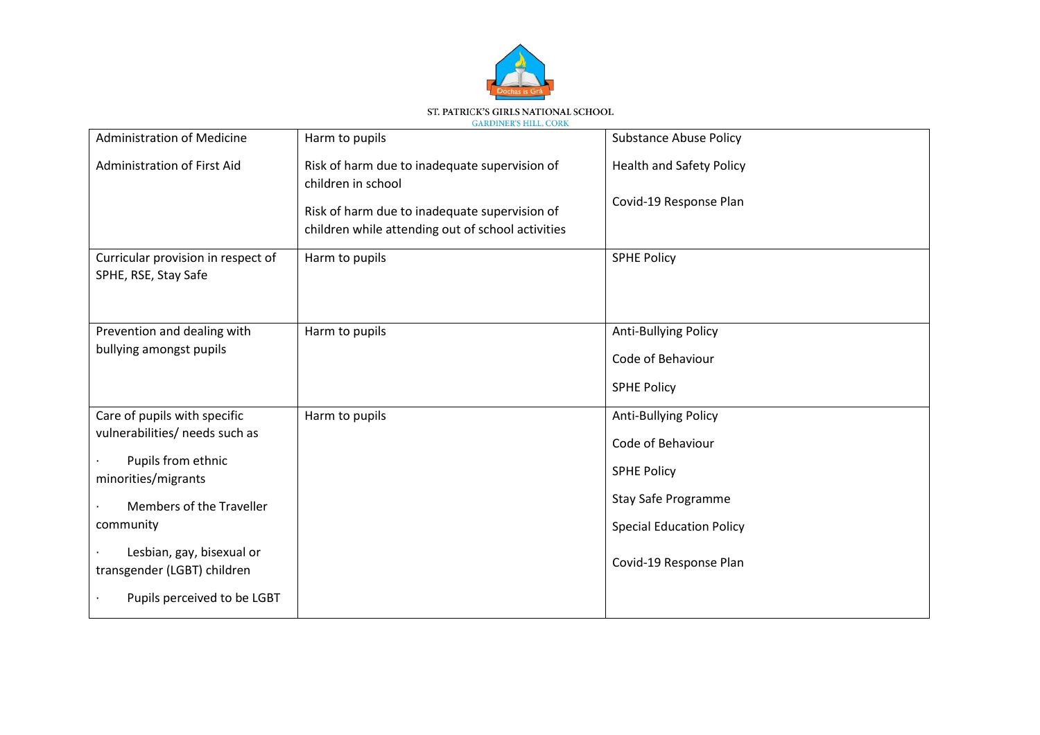

| <b>Administration of Medicine</b>                          | Harm to pupils                                                                                     | <b>Substance Abuse Policy</b>   |
|------------------------------------------------------------|----------------------------------------------------------------------------------------------------|---------------------------------|
| Administration of First Aid                                | Risk of harm due to inadequate supervision of<br>children in school                                | <b>Health and Safety Policy</b> |
|                                                            | Risk of harm due to inadequate supervision of<br>children while attending out of school activities | Covid-19 Response Plan          |
| Curricular provision in respect of<br>SPHE, RSE, Stay Safe | Harm to pupils                                                                                     | <b>SPHE Policy</b>              |
| Prevention and dealing with                                | Harm to pupils                                                                                     | <b>Anti-Bullying Policy</b>     |
| bullying amongst pupils                                    |                                                                                                    | Code of Behaviour               |
|                                                            |                                                                                                    | <b>SPHE Policy</b>              |
| Care of pupils with specific                               | Harm to pupils                                                                                     | <b>Anti-Bullying Policy</b>     |
| vulnerabilities/ needs such as                             |                                                                                                    | Code of Behaviour               |
| Pupils from ethnic<br>minorities/migrants                  |                                                                                                    | <b>SPHE Policy</b>              |
| Members of the Traveller                                   |                                                                                                    | Stay Safe Programme             |
| community                                                  |                                                                                                    | <b>Special Education Policy</b> |
| Lesbian, gay, bisexual or<br>transgender (LGBT) children   |                                                                                                    | Covid-19 Response Plan          |
| Pupils perceived to be LGBT                                |                                                                                                    |                                 |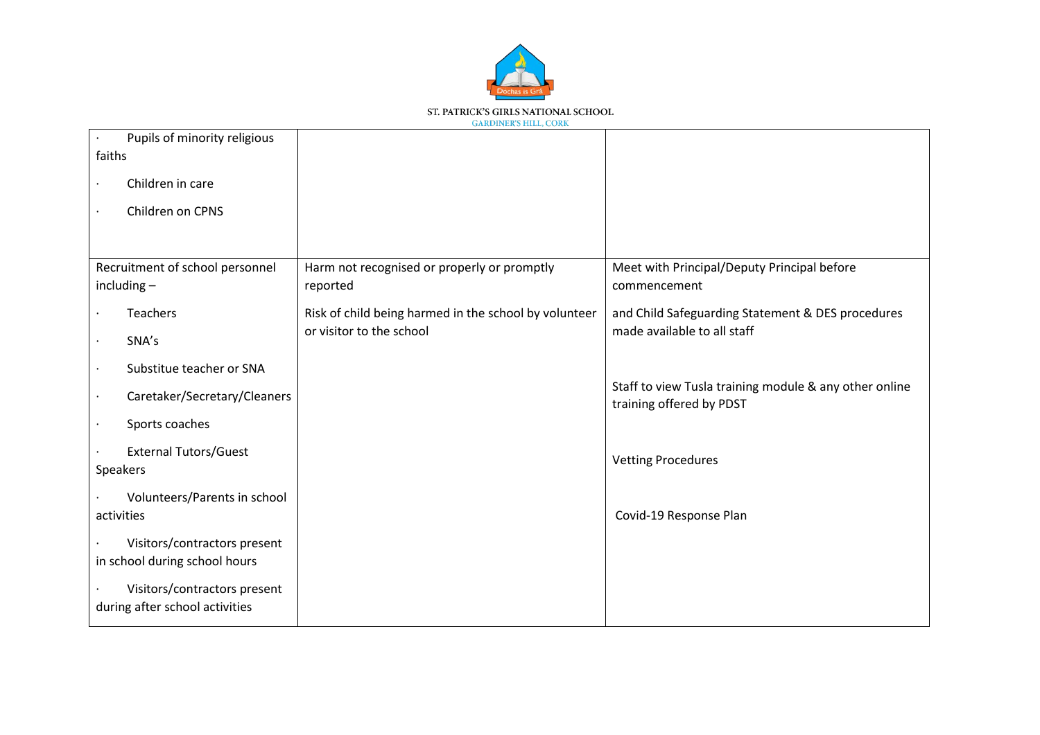

| faiths | Pupils of minority religious                                   |                                                       |                                                                                    |
|--------|----------------------------------------------------------------|-------------------------------------------------------|------------------------------------------------------------------------------------|
|        | Children in care                                               |                                                       |                                                                                    |
|        |                                                                |                                                       |                                                                                    |
|        | Children on CPNS                                               |                                                       |                                                                                    |
|        |                                                                |                                                       |                                                                                    |
|        | Recruitment of school personnel                                | Harm not recognised or properly or promptly           | Meet with Principal/Deputy Principal before                                        |
|        | $including -$                                                  | reported                                              | commencement                                                                       |
|        | <b>Teachers</b>                                                | Risk of child being harmed in the school by volunteer | and Child Safeguarding Statement & DES procedures                                  |
|        | SNA's                                                          | or visitor to the school                              | made available to all staff                                                        |
|        | Substitue teacher or SNA                                       |                                                       |                                                                                    |
|        | Caretaker/Secretary/Cleaners                                   |                                                       | Staff to view Tusla training module & any other online<br>training offered by PDST |
|        | Sports coaches                                                 |                                                       |                                                                                    |
|        | <b>External Tutors/Guest</b>                                   |                                                       | <b>Vetting Procedures</b>                                                          |
|        | Speakers                                                       |                                                       |                                                                                    |
|        | Volunteers/Parents in school                                   |                                                       |                                                                                    |
|        | activities                                                     |                                                       | Covid-19 Response Plan                                                             |
|        | Visitors/contractors present<br>in school during school hours  |                                                       |                                                                                    |
|        | Visitors/contractors present<br>during after school activities |                                                       |                                                                                    |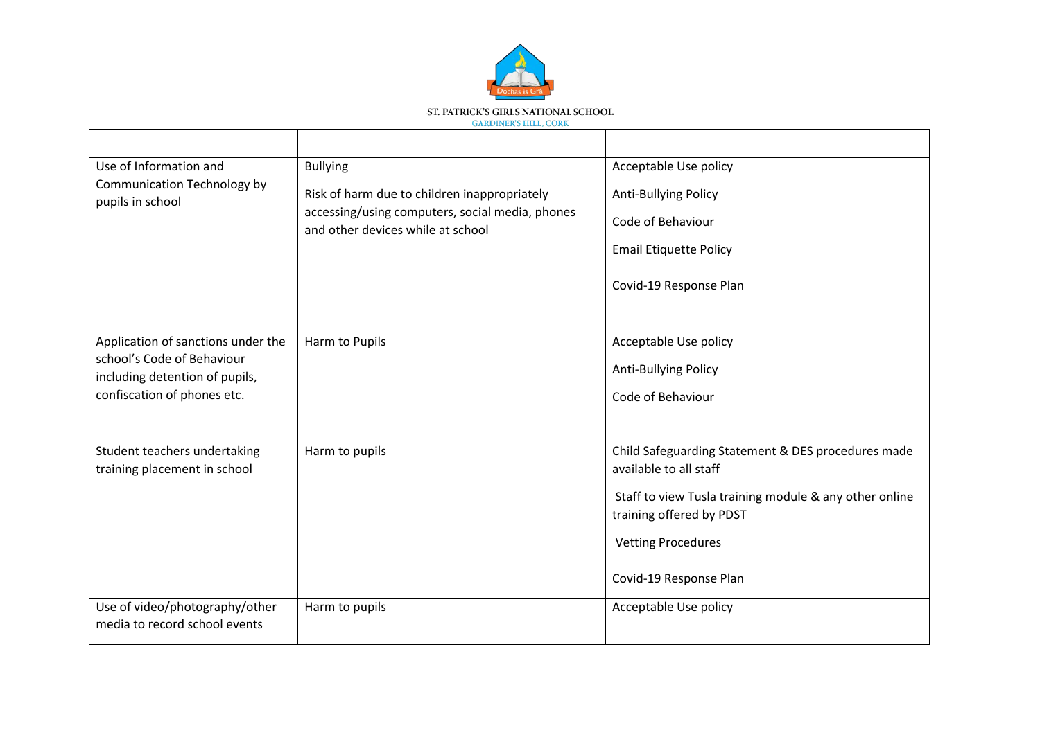

| Use of Information and                                          | <b>Bullying</b>                                                                      | Acceptable Use policy                                  |
|-----------------------------------------------------------------|--------------------------------------------------------------------------------------|--------------------------------------------------------|
| Communication Technology by<br>pupils in school                 | Risk of harm due to children inappropriately                                         | <b>Anti-Bullying Policy</b>                            |
|                                                                 | accessing/using computers, social media, phones<br>and other devices while at school | Code of Behaviour                                      |
|                                                                 |                                                                                      | <b>Email Etiquette Policy</b>                          |
|                                                                 |                                                                                      | Covid-19 Response Plan                                 |
| Application of sanctions under the                              | Harm to Pupils                                                                       | Acceptable Use policy                                  |
| school's Code of Behaviour                                      |                                                                                      | <b>Anti-Bullying Policy</b>                            |
| including detention of pupils,<br>confiscation of phones etc.   |                                                                                      | Code of Behaviour                                      |
|                                                                 |                                                                                      |                                                        |
| Student teachers undertaking                                    | Harm to pupils                                                                       | Child Safeguarding Statement & DES procedures made     |
| training placement in school                                    |                                                                                      | available to all staff                                 |
|                                                                 |                                                                                      | Staff to view Tusla training module & any other online |
|                                                                 |                                                                                      | training offered by PDST                               |
|                                                                 |                                                                                      | <b>Vetting Procedures</b>                              |
|                                                                 |                                                                                      | Covid-19 Response Plan                                 |
| Use of video/photography/other<br>media to record school events | Harm to pupils                                                                       | Acceptable Use policy                                  |
|                                                                 |                                                                                      |                                                        |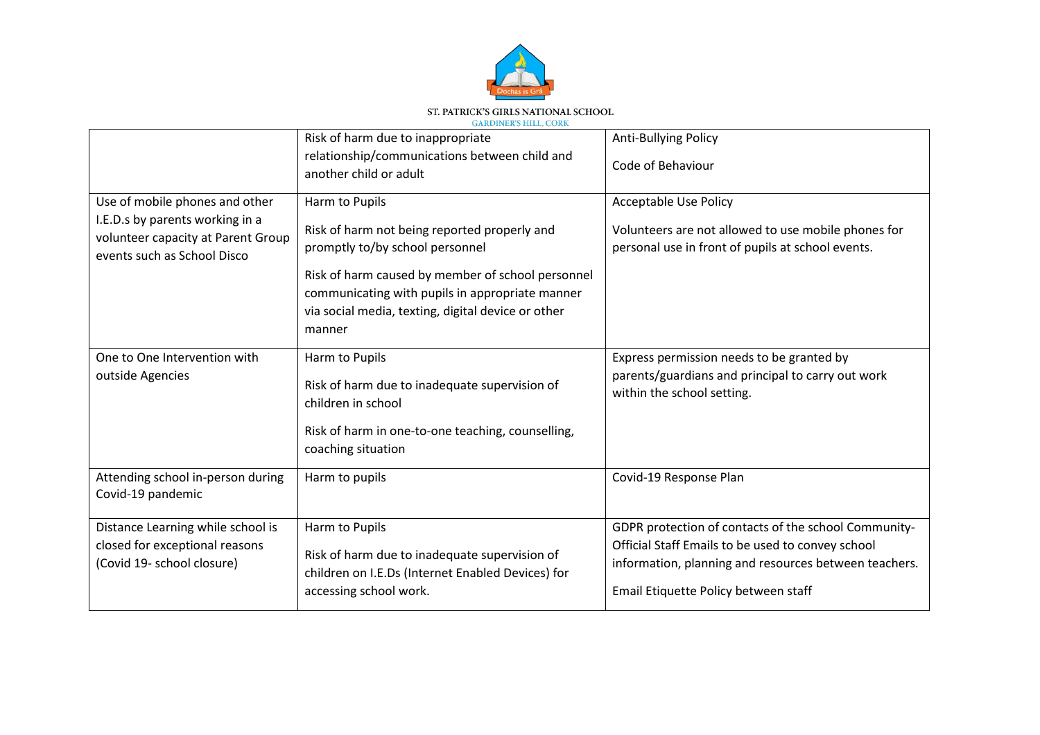

|                                                                                                                                        | Risk of harm due to inappropriate                                                                                                                                    | <b>Anti-Bullying Policy</b>                                                                                                                                                                                |
|----------------------------------------------------------------------------------------------------------------------------------------|----------------------------------------------------------------------------------------------------------------------------------------------------------------------|------------------------------------------------------------------------------------------------------------------------------------------------------------------------------------------------------------|
|                                                                                                                                        | relationship/communications between child and<br>another child or adult                                                                                              | Code of Behaviour                                                                                                                                                                                          |
| Use of mobile phones and other<br>I.E.D.s by parents working in a<br>volunteer capacity at Parent Group<br>events such as School Disco | Harm to Pupils                                                                                                                                                       | <b>Acceptable Use Policy</b>                                                                                                                                                                               |
|                                                                                                                                        | Risk of harm not being reported properly and<br>promptly to/by school personnel                                                                                      | Volunteers are not allowed to use mobile phones for<br>personal use in front of pupils at school events.                                                                                                   |
|                                                                                                                                        | Risk of harm caused by member of school personnel<br>communicating with pupils in appropriate manner<br>via social media, texting, digital device or other<br>manner |                                                                                                                                                                                                            |
| One to One Intervention with<br>outside Agencies                                                                                       | Harm to Pupils<br>Risk of harm due to inadequate supervision of<br>children in school<br>Risk of harm in one-to-one teaching, counselling,<br>coaching situation     | Express permission needs to be granted by<br>parents/guardians and principal to carry out work<br>within the school setting.                                                                               |
| Attending school in-person during<br>Covid-19 pandemic                                                                                 | Harm to pupils                                                                                                                                                       | Covid-19 Response Plan                                                                                                                                                                                     |
| Distance Learning while school is<br>closed for exceptional reasons<br>(Covid 19- school closure)                                      | Harm to Pupils<br>Risk of harm due to inadequate supervision of<br>children on I.E.Ds (Internet Enabled Devices) for<br>accessing school work.                       | GDPR protection of contacts of the school Community-<br>Official Staff Emails to be used to convey school<br>information, planning and resources between teachers.<br>Email Etiquette Policy between staff |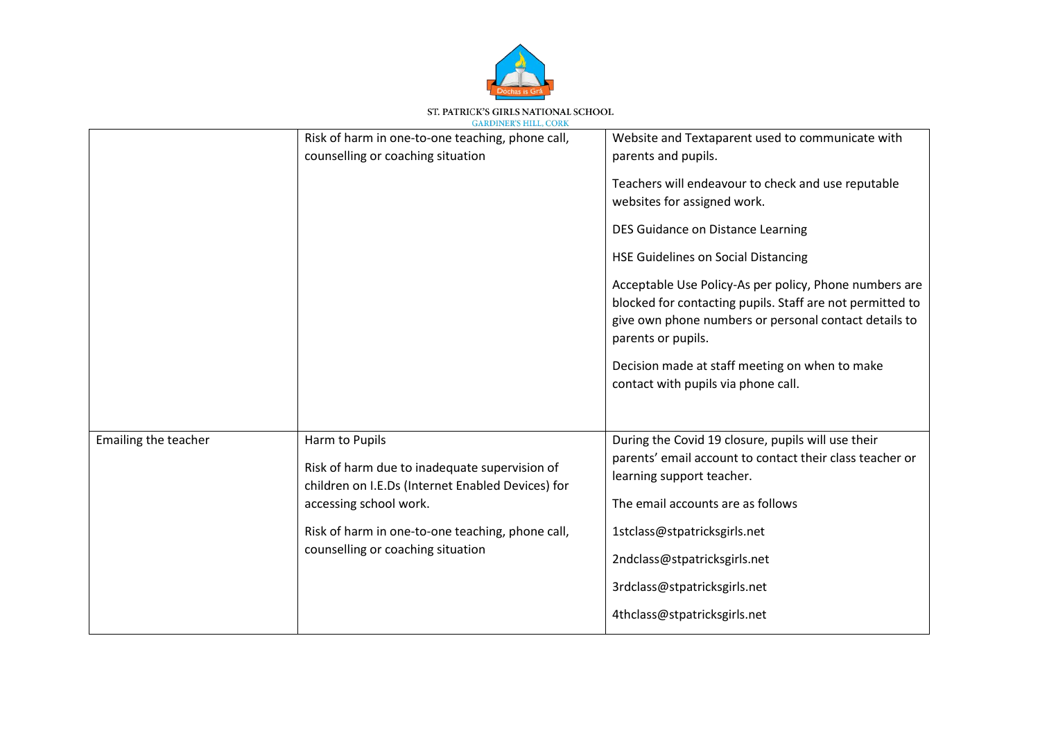

|                      | Risk of harm in one-to-one teaching, phone call,<br>counselling or coaching situation                                                                                                                                                   | Website and Textaparent used to communicate with<br>parents and pupils.<br>Teachers will endeavour to check and use reputable<br>websites for assigned work.<br>DES Guidance on Distance Learning<br><b>HSE Guidelines on Social Distancing</b><br>Acceptable Use Policy-As per policy, Phone numbers are<br>blocked for contacting pupils. Staff are not permitted to<br>give own phone numbers or personal contact details to<br>parents or pupils.<br>Decision made at staff meeting on when to make<br>contact with pupils via phone call. |
|----------------------|-----------------------------------------------------------------------------------------------------------------------------------------------------------------------------------------------------------------------------------------|------------------------------------------------------------------------------------------------------------------------------------------------------------------------------------------------------------------------------------------------------------------------------------------------------------------------------------------------------------------------------------------------------------------------------------------------------------------------------------------------------------------------------------------------|
| Emailing the teacher | Harm to Pupils<br>Risk of harm due to inadequate supervision of<br>children on I.E.Ds (Internet Enabled Devices) for<br>accessing school work.<br>Risk of harm in one-to-one teaching, phone call,<br>counselling or coaching situation | During the Covid 19 closure, pupils will use their<br>parents' email account to contact their class teacher or<br>learning support teacher.<br>The email accounts are as follows<br>1stclass@stpatricksgirls.net<br>2ndclass@stpatricksgirls.net<br>3rdclass@stpatricksgirls.net<br>4thclass@stpatricksgirls.net                                                                                                                                                                                                                               |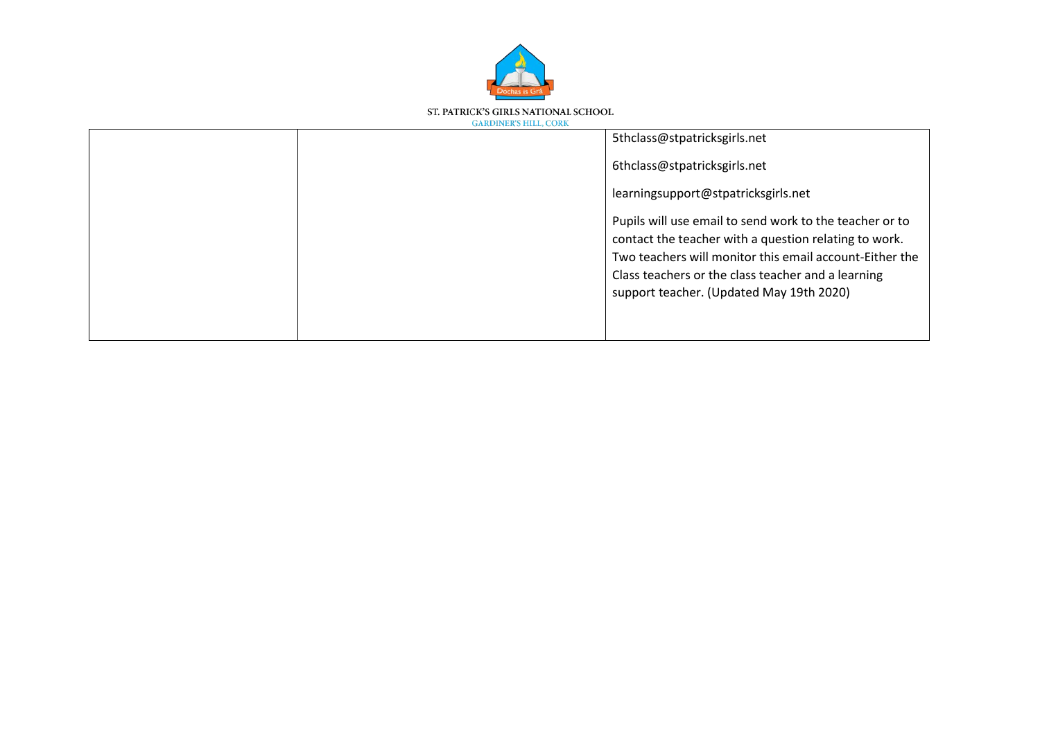

| 5thclass@stpatricksgirls.net                                                                                                                                                                                                                                                  |
|-------------------------------------------------------------------------------------------------------------------------------------------------------------------------------------------------------------------------------------------------------------------------------|
| 6thclass@stpatricksgirls.net                                                                                                                                                                                                                                                  |
| learningsupport@stpatricksgirls.net                                                                                                                                                                                                                                           |
| Pupils will use email to send work to the teacher or to<br>contact the teacher with a question relating to work.<br>Two teachers will monitor this email account-Either the<br>Class teachers or the class teacher and a learning<br>support teacher. (Updated May 19th 2020) |